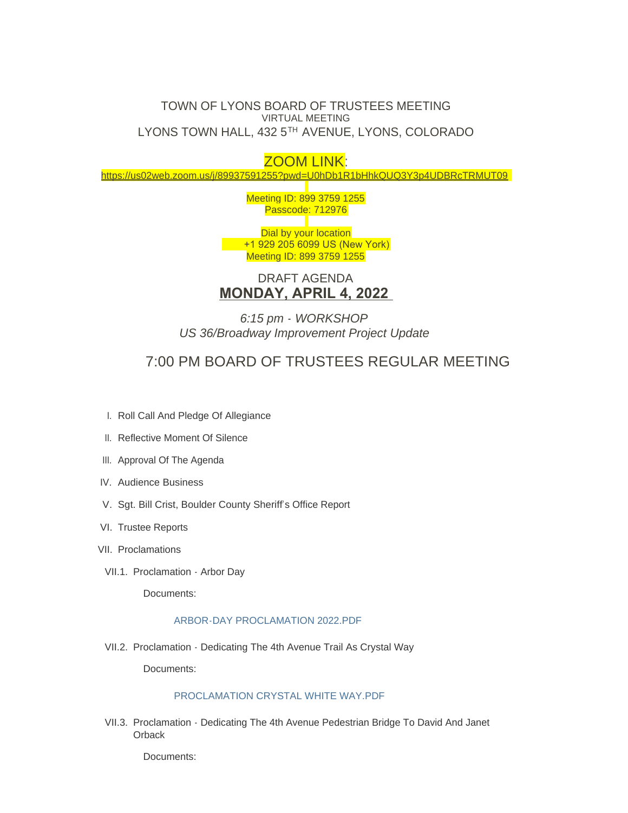## TOWN OF LYONS BOARD OF TRUSTEES MEETING VIRTUAL MEETING LYONS TOWN HALL, 432 5TH AVENUE, LYONS, COLORADO

# ZOOM LINK:

<https://us02web.zoom.us/j/89937591255?pwd=U0hDb1R1bHhkQUQ3Y3p4UDBRcTRMUT09>

Meeting ID: 899 3759 1255 Passcode: 712976

Dial by your location +1 929 205 6099 US (New York) Meeting ID: 899 3759 1255

DRAFT AGENDA **MONDAY, APRIL 4, 2022** 

*6:15 pm - WORKSHOP US 36/Broadway Improvement Project Update*

# 7:00 PM BOARD OF TRUSTEES REGULAR MEETING

- I. Roll Call And Pledge Of Allegiance
- II. Reflective Moment Of Silence
- III. Approval Of The Agenda
- IV. Audience Business
- V. Sgt. Bill Crist, Boulder County Sheriff's Office Report
- VI. Trustee Reports
- VII. Proclamations
- VII.1. Proclamation Arbor Day

Documents:

### [ARBOR-DAY PROCLAMATION 2022.PDF](https://www.townoflyons.com/AgendaCenter/ViewFile/Item/10002?fileID=20823)

VII.2. Proclamation - Dedicating The 4th Avenue Trail As Crystal Way

Documents:

## [PROCLAMATION CRYSTAL WHITE WAY.PDF](https://www.townoflyons.com/AgendaCenter/ViewFile/Item/10003?fileID=20824)

VII.3. Proclamation - Dedicating The 4th Avenue Pedestrian Bridge To David And Janet **Orback**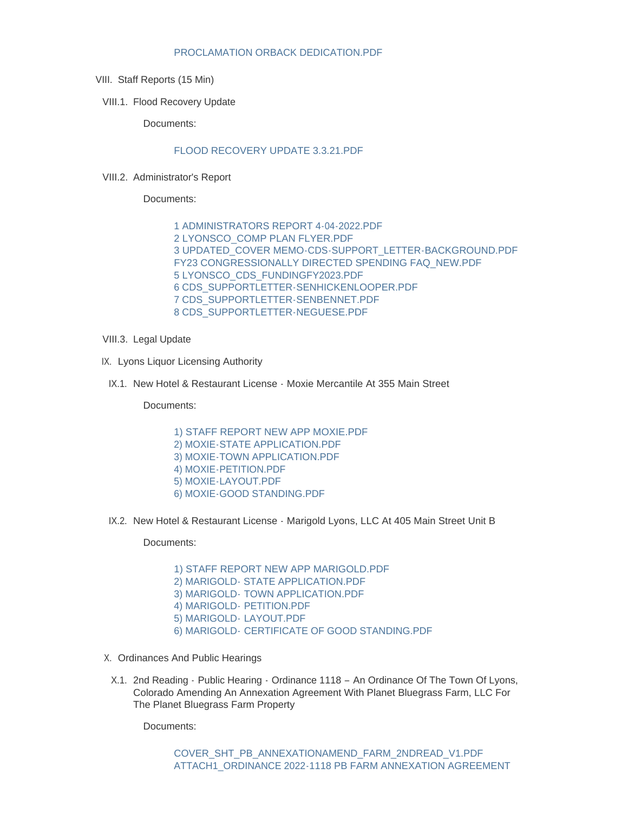#### [PROCLAMATION ORBACK DEDICATION.PDF](https://www.townoflyons.com/AgendaCenter/ViewFile/Item/10004?fileID=20825)

- VIII. Staff Reports (15 Min)
- VIII.1. Flood Recovery Update

Documents:

## [FLOOD RECOVERY UPDATE 3.3.21.PDF](https://www.townoflyons.com/AgendaCenter/ViewFile/Item/10005?fileID=20867)

VIII.2. Administrator's Report

Documents:

[1 ADMINISTRATORS REPORT 4-04-2022.PDF](https://www.townoflyons.com/AgendaCenter/ViewFile/Item/10049?fileID=20912) [2 LYONSCO\\_COMP PLAN FLYER.PDF](https://www.townoflyons.com/AgendaCenter/ViewFile/Item/10049?fileID=20913) [3 UPDATED\\_COVER MEMO-CDS-SUPPORT\\_LETTER-BACKGROUND.PDF](https://www.townoflyons.com/AgendaCenter/ViewFile/Item/10049?fileID=20914) [FY23 CONGRESSIONALLY DIRECTED SPENDING FAQ\\_NEW.PDF](https://www.townoflyons.com/AgendaCenter/ViewFile/Item/10049?fileID=20919) [5 LYONSCO\\_CDS\\_FUNDINGFY2023.PDF](https://www.townoflyons.com/AgendaCenter/ViewFile/Item/10049?fileID=20918) [6 CDS\\_SUPPORTLETTER-SENHICKENLOOPER.PDF](https://www.townoflyons.com/AgendaCenter/ViewFile/Item/10049?fileID=20915) [7 CDS\\_SUPPORTLETTER-SENBENNET.PDF](https://www.townoflyons.com/AgendaCenter/ViewFile/Item/10049?fileID=20916) [8 CDS\\_SUPPORTLETTER-NEGUESE.PDF](https://www.townoflyons.com/AgendaCenter/ViewFile/Item/10049?fileID=20917)

- VIII.3. Legal Update
- IX. Lyons Liquor Licensing Authority
- IX.1. New Hotel & Restaurant License Moxie Mercantile At 355 Main Street

Documents:

- [1\) STAFF REPORT NEW APP MOXIE.PDF](https://www.townoflyons.com/AgendaCenter/ViewFile/Item/10008?fileID=20830) [2\) MOXIE-STATE APPLICATION.PDF](https://www.townoflyons.com/AgendaCenter/ViewFile/Item/10008?fileID=20831) [3\) MOXIE-TOWN APPLICATION.PDF](https://www.townoflyons.com/AgendaCenter/ViewFile/Item/10008?fileID=20826) [4\) MOXIE-PETITION.PDF](https://www.townoflyons.com/AgendaCenter/ViewFile/Item/10008?fileID=20827) [5\) MOXIE-LAYOUT.PDF](https://www.townoflyons.com/AgendaCenter/ViewFile/Item/10008?fileID=20828) [6\) MOXIE-GOOD STANDING.PDF](https://www.townoflyons.com/AgendaCenter/ViewFile/Item/10008?fileID=20829)
- IX.2. New Hotel & Restaurant License Marigold Lyons, LLC At 405 Main Street Unit B

Documents:

[1\) STAFF REPORT NEW APP MARIGOLD.PDF](https://www.townoflyons.com/AgendaCenter/ViewFile/Item/10009?fileID=20836)

- [2\) MARIGOLD- STATE APPLICATION.PDF](https://www.townoflyons.com/AgendaCenter/ViewFile/Item/10009?fileID=20837) 3) MARIGOLD- [TOWN APPLICATION.PDF](https://www.townoflyons.com/AgendaCenter/ViewFile/Item/10009?fileID=20832)
- 
- [4\) MARIGOLD-](https://www.townoflyons.com/AgendaCenter/ViewFile/Item/10009?fileID=20833) PETITION.PDF
- [5\) MARIGOLD-](https://www.townoflyons.com/AgendaCenter/ViewFile/Item/10009?fileID=20834) LAYOUT.PDF
- 6) MARIGOLD- [CERTIFICATE OF GOOD STANDING.PDF](https://www.townoflyons.com/AgendaCenter/ViewFile/Item/10009?fileID=20835)
- X. Ordinances And Public Hearings
- X.1. 2nd Reading · Public Hearing · Ordinance 1118 An Ordinance Of The Town Of Lyons, Colorado Amending An Annexation Agreement With Planet Bluegrass Farm, LLC For The Planet Bluegrass Farm Property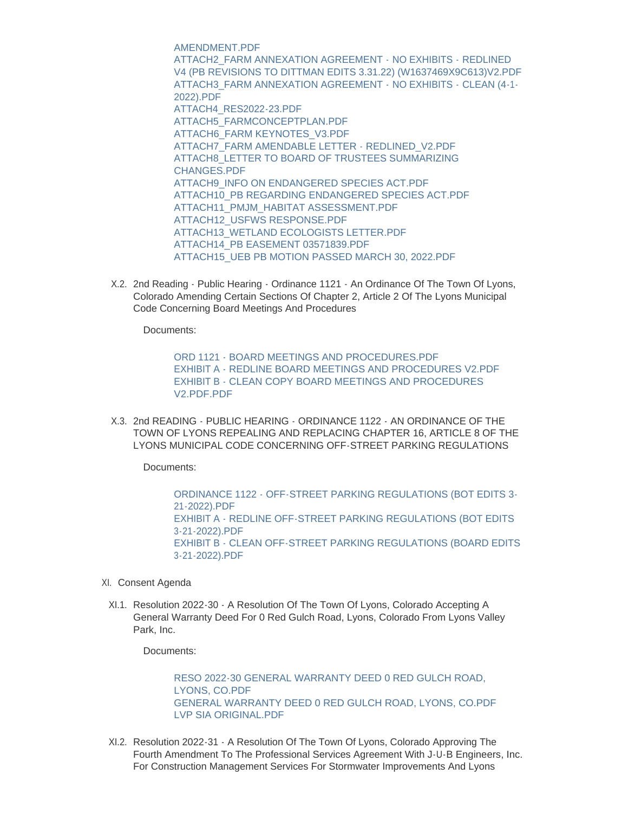AMENDMENT.PDF ATTACH2\_FARM ANNEXATION AGREEMENT - NO EXHIBITS - REDLINED [V4 \(PB REVISIONS TO DITTMAN EDITS 3.31.22\) \(W1637469X9C613\)V2.PDF](https://www.townoflyons.com/AgendaCenter/ViewFile/Item/10045?fileID=20883) [ATTACH3\\_FARM ANNEXATION AGREEMENT -](https://www.townoflyons.com/AgendaCenter/ViewFile/Item/10045?fileID=20884) NO EXHIBITS - CLEAN (4-1-2022).PDF [ATTACH4\\_RES2022-23.PDF](https://www.townoflyons.com/AgendaCenter/ViewFile/Item/10045?fileID=20885) [ATTACH5\\_FARMCONCEPTPLAN.PDF](https://www.townoflyons.com/AgendaCenter/ViewFile/Item/10045?fileID=20886) [ATTACH6\\_FARM KEYNOTES\\_V3.PDF](https://www.townoflyons.com/AgendaCenter/ViewFile/Item/10045?fileID=20887) [ATTACH7\\_FARM AMENDABLE LETTER - REDLINED\\_V2.PDF](https://www.townoflyons.com/AgendaCenter/ViewFile/Item/10045?fileID=20888) [ATTACH8\\_LETTER TO BOARD OF TRUSTEES SUMMARIZING](https://www.townoflyons.com/AgendaCenter/ViewFile/Item/10045?fileID=20889)  CHANGES.PDF [ATTACH9\\_INFO ON ENDANGERED SPECIES ACT.PDF](https://www.townoflyons.com/AgendaCenter/ViewFile/Item/10045?fileID=20890) [ATTACH10\\_PB REGARDING ENDANGERED SPECIES ACT.PDF](https://www.townoflyons.com/AgendaCenter/ViewFile/Item/10045?fileID=20891) [ATTACH11\\_PMJM\\_HABITAT ASSESSMENT.PDF](https://www.townoflyons.com/AgendaCenter/ViewFile/Item/10045?fileID=20876) [ATTACH12\\_USFWS RESPONSE.PDF](https://www.townoflyons.com/AgendaCenter/ViewFile/Item/10045?fileID=20877) [ATTACH13\\_WETLAND ECOLOGISTS LETTER.PDF](https://www.townoflyons.com/AgendaCenter/ViewFile/Item/10045?fileID=20878) [ATTACH14\\_PB EASEMENT 03571839.PDF](https://www.townoflyons.com/AgendaCenter/ViewFile/Item/10045?fileID=20879) [ATTACH15\\_UEB PB MOTION PASSED MARCH 30, 2022.PDF](https://www.townoflyons.com/AgendaCenter/ViewFile/Item/10045?fileID=20880)

X.2. 2nd Reading - Public Hearing - Ordinance 1121 - An Ordinance Of The Town Of Lyons, Colorado Amending Certain Sections Of Chapter 2, Article 2 Of The Lyons Municipal Code Concerning Board Meetings And Procedures

Documents:

[ORD 1121 - BOARD MEETINGS AND PROCEDURES.PDF](https://www.townoflyons.com/AgendaCenter/ViewFile/Item/10011?fileID=20864) [EXHIBIT A - REDLINE BOARD MEETINGS AND PROCEDURES V2.PDF](https://www.townoflyons.com/AgendaCenter/ViewFile/Item/10011?fileID=20865) [EXHIBIT B - CLEAN COPY BOARD MEETINGS AND PROCEDURES](https://www.townoflyons.com/AgendaCenter/ViewFile/Item/10011?fileID=20866)  V2.PDF.PDF

X.3. 2nd READING - PUBLIC HEARING - ORDINANCE 1122 - AN ORDINANCE OF THE TOWN OF LYONS REPEALING AND REPLACING CHAPTER 16, ARTICLE 8 OF THE LYONS MUNICIPAL CODE CONCERNING OFF-STREET PARKING REGULATIONS

Documents:

[ORDINANCE 1122 - OFF-STREET PARKING REGULATIONS \(BOT EDITS 3-](https://www.townoflyons.com/AgendaCenter/ViewFile/Item/10052?fileID=20924) 21-2022).PDF [EXHIBIT A - REDLINE OFF-STREET PARKING REGULATIONS \(BOT EDITS](https://www.townoflyons.com/AgendaCenter/ViewFile/Item/10052?fileID=20922)  3-21-2022).PDF [EXHIBIT B - CLEAN OFF-STREET PARKING REGULATIONS \(BOARD EDITS](https://www.townoflyons.com/AgendaCenter/ViewFile/Item/10052?fileID=20923)  3-21-2022).PDF

- XI. Consent Agenda
- XI.1. Resolution 2022-30 A Resolution Of The Town Of Lyons, Colorado Accepting A General Warranty Deed For 0 Red Gulch Road, Lyons, Colorado From Lyons Valley Park, Inc.

Documents:

[RESO 2022-30 GENERAL WARRANTY DEED 0 RED GULCH ROAD,](https://www.townoflyons.com/AgendaCenter/ViewFile/Item/10013?fileID=20842)  LYONS, CO.PDF [GENERAL WARRANTY DEED 0 RED GULCH ROAD, LYONS, CO.PDF](https://www.townoflyons.com/AgendaCenter/ViewFile/Item/10013?fileID=20843) [LVP SIA ORIGINAL.PDF](https://www.townoflyons.com/AgendaCenter/ViewFile/Item/10013?fileID=20844)

XI.2. Resolution 2022-31 - A Resolution Of The Town Of Lyons, Colorado Approving The Fourth Amendment To The Professional Services Agreement With J-U-B Engineers, Inc. For Construction Management Services For Stormwater Improvements And Lyons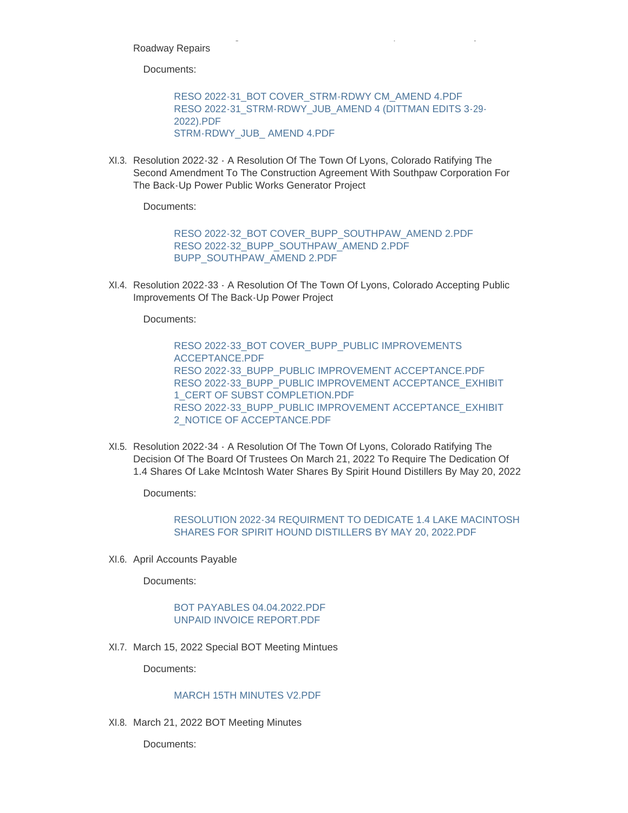Roadway Repairs

Documents:

[RESO 2022-31\\_BOT COVER\\_STRM-RDWY CM\\_AMEND 4.PDF](https://www.townoflyons.com/AgendaCenter/ViewFile/Item/10014?fileID=20847) [RESO 2022-31\\_STRM-RDWY\\_JUB\\_AMEND 4 \(DITTMAN EDITS 3-29-](https://www.townoflyons.com/AgendaCenter/ViewFile/Item/10014?fileID=20845) 2022).PDF [STRM-RDWY\\_JUB\\_ AMEND 4.PDF](https://www.townoflyons.com/AgendaCenter/ViewFile/Item/10014?fileID=20846)

For Construction Management Services For Stormwater Improvements And Lyons

XI.3. Resolution 2022-32 - A Resolution Of The Town Of Lyons, Colorado Ratifying The Second Amendment To The Construction Agreement With Southpaw Corporation For The Back-Up Power Public Works Generator Project

Documents:

[RESO 2022-32\\_BOT COVER\\_BUPP\\_SOUTHPAW\\_AMEND 2.PDF](https://www.townoflyons.com/AgendaCenter/ViewFile/Item/10015?fileID=20848) [RESO 2022-32\\_BUPP\\_SOUTHPAW\\_AMEND 2.PDF](https://www.townoflyons.com/AgendaCenter/ViewFile/Item/10015?fileID=20849) [BUPP\\_SOUTHPAW\\_AMEND 2.PDF](https://www.townoflyons.com/AgendaCenter/ViewFile/Item/10015?fileID=20850)

XI.4. Resolution 2022-33 - A Resolution Of The Town Of Lyons, Colorado Accepting Public Improvements Of The Back-Up Power Project

Documents:

[RESO 2022-33\\_BOT COVER\\_BUPP\\_PUBLIC IMPROVEMENTS](https://www.townoflyons.com/AgendaCenter/ViewFile/Item/10016?fileID=20854)  ACCEPTANCE.PDF [RESO 2022-33\\_BUPP\\_PUBLIC IMPROVEMENT ACCEPTANCE.PDF](https://www.townoflyons.com/AgendaCenter/ViewFile/Item/10016?fileID=20851) [RESO 2022-33\\_BUPP\\_PUBLIC IMPROVEMENT ACCEPTANCE\\_EXHIBIT](https://www.townoflyons.com/AgendaCenter/ViewFile/Item/10016?fileID=20852)  1\_CERT OF SUBST COMPLETION.PDF [RESO 2022-33\\_BUPP\\_PUBLIC IMPROVEMENT ACCEPTANCE\\_EXHIBIT](https://www.townoflyons.com/AgendaCenter/ViewFile/Item/10016?fileID=20853)  2\_NOTICE OF ACCEPTANCE.PDF

XI.5. Resolution 2022-34 - A Resolution Of The Town Of Lyons, Colorado Ratifying The Decision Of The Board Of Trustees On March 21, 2022 To Require The Dedication Of 1.4 Shares Of Lake McIntosh Water Shares By Spirit Hound Distillers By May 20, 2022

Documents:

### [RESOLUTION 2022-34 REQUIRMENT TO DEDICATE 1.4 LAKE MACINTOSH](https://www.townoflyons.com/AgendaCenter/ViewFile/Item/10017?fileID=20855)  SHARES FOR SPIRIT HOUND DISTILLERS BY MAY 20, 2022.PDF

XI.6. April Accounts Payable

Documents:

#### [BOT PAYABLES 04.04.2022.PDF](https://www.townoflyons.com/AgendaCenter/ViewFile/Item/10018?fileID=20819) [UNPAID INVOICE REPORT.PDF](https://www.townoflyons.com/AgendaCenter/ViewFile/Item/10018?fileID=20820)

XI.7. March 15, 2022 Special BOT Meeting Mintues

Documents:

## [MARCH 15TH MINUTES V2.PDF](https://www.townoflyons.com/AgendaCenter/ViewFile/Item/10019?fileID=20821)

XI.8. March 21, 2022 BOT Meeting Minutes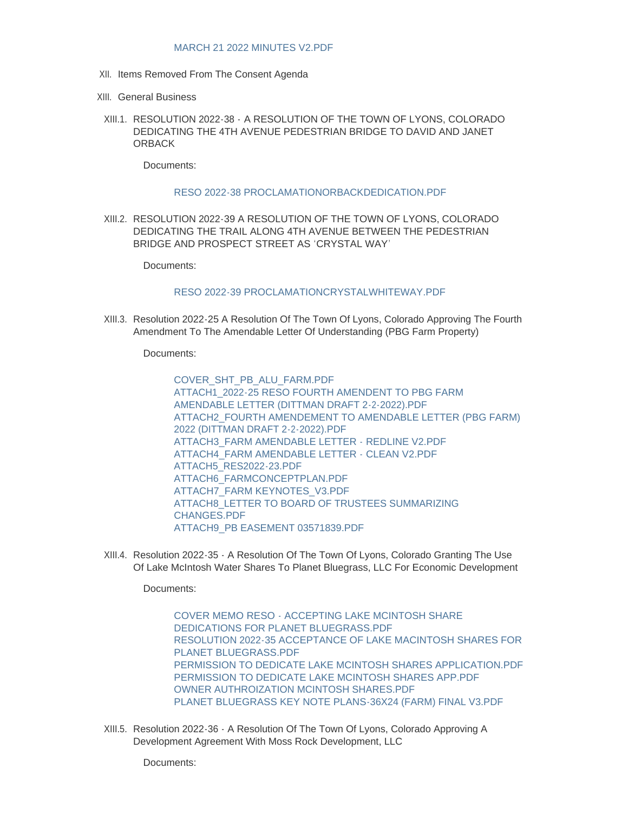#### [MARCH 21 2022 MINUTES V2.PDF](https://www.townoflyons.com/AgendaCenter/ViewFile/Item/10020?fileID=20863)

- XII. Items Removed From The Consent Agenda
- XIII. General Business
- RESOLUTION 2022-38 A RESOLUTION OF THE TOWN OF LYONS, COLORADO XIII.1. DEDICATING THE 4TH AVENUE PEDESTRIAN BRIDGE TO DAVID AND JANET **ORBACK**

Documents:

#### [RESO 2022-38 PROCLAMATIONORBACKDEDICATION.PDF](https://www.townoflyons.com/AgendaCenter/ViewFile/Item/10050?fileID=20920)

RESOLUTION 2022-39 A RESOLUTION OF THE TOWN OF LYONS, COLORADO XIII.2. DEDICATING THE TRAIL ALONG 4TH AVENUE BETWEEN THE PEDESTRIAN BRIDGE AND PROSPECT STREET AS 'CRYSTAL WAY'

Documents:

#### [RESO 2022-39 PROCLAMATIONCRYSTALWHITEWAY.PDF](https://www.townoflyons.com/AgendaCenter/ViewFile/Item/10051?fileID=20921)

XIII.3. Resolution 2022-25 A Resolution Of The Town Of Lyons, Colorado Approving The Fourth Amendment To The Amendable Letter Of Understanding (PBG Farm Property)

Documents:

[COVER\\_SHT\\_PB\\_ALU\\_FARM.PDF](https://www.townoflyons.com/AgendaCenter/ViewFile/Item/10046?fileID=20899) [ATTACH1\\_2022-25 RESO FOURTH AMENDENT TO PBG FARM](https://www.townoflyons.com/AgendaCenter/ViewFile/Item/10046?fileID=20900)  AMENDABLE LETTER (DITTMAN DRAFT 2-2-2022).PDF [ATTACH2\\_FOURTH AMENDEMENT TO AMENDABLE LETTER \(PBG FARM\)](https://www.townoflyons.com/AgendaCenter/ViewFile/Item/10046?fileID=20901)  2022 (DITTMAN DRAFT 2-2-2022).PDF [ATTACH3\\_FARM AMENDABLE LETTER - REDLINE V2.PDF](https://www.townoflyons.com/AgendaCenter/ViewFile/Item/10046?fileID=20892) [ATTACH4\\_FARM AMENDABLE LETTER - CLEAN V2.PDF](https://www.townoflyons.com/AgendaCenter/ViewFile/Item/10046?fileID=20893) [ATTACH5\\_RES2022-23.PDF](https://www.townoflyons.com/AgendaCenter/ViewFile/Item/10046?fileID=20894) [ATTACH6\\_FARMCONCEPTPLAN.PDF](https://www.townoflyons.com/AgendaCenter/ViewFile/Item/10046?fileID=20895) [ATTACH7\\_FARM KEYNOTES\\_V3.PDF](https://www.townoflyons.com/AgendaCenter/ViewFile/Item/10046?fileID=20896) [ATTACH8\\_LETTER TO BOARD OF TRUSTEES SUMMARIZING](https://www.townoflyons.com/AgendaCenter/ViewFile/Item/10046?fileID=20897)  CHANGES.PDF [ATTACH9\\_PB EASEMENT 03571839.PDF](https://www.townoflyons.com/AgendaCenter/ViewFile/Item/10046?fileID=20898)

XIII.4. Resolution 2022-35 - A Resolution Of The Town Of Lyons, Colorado Granting The Use Of Lake McIntosh Water Shares To Planet Bluegrass, LLC For Economic Development

Documents:

[COVER MEMO RESO - ACCEPTING LAKE MCINTOSH SHARE](https://www.townoflyons.com/AgendaCenter/ViewFile/Item/10047?fileID=20907)  DEDICATIONS FOR PLANET BLUEGRASS.PDF [RESOLUTION 2022-35 ACCEPTANCE OF LAKE MACINTOSH SHARES FOR](https://www.townoflyons.com/AgendaCenter/ViewFile/Item/10047?fileID=20906)  PLANET BLUEGRASS.PDF [PERMISSION TO DEDICATE LAKE MCINTOSH SHARES APPLICATION.PDF](https://www.townoflyons.com/AgendaCenter/ViewFile/Item/10047?fileID=20904) [PERMISSION TO DEDICATE LAKE MCINTOSH SHARES APP.PDF](https://www.townoflyons.com/AgendaCenter/ViewFile/Item/10047?fileID=20903) [OWNER AUTHROIZATION MCINTOSH SHARES.PDF](https://www.townoflyons.com/AgendaCenter/ViewFile/Item/10047?fileID=20902) [PLANET BLUEGRASS KEY NOTE PLANS-36X24 \(FARM\) FINAL V3.PDF](https://www.townoflyons.com/AgendaCenter/ViewFile/Item/10047?fileID=20905)

XIII.5. Resolution 2022-36 - A Resolution Of The Town Of Lyons, Colorado Approving A Development Agreement With Moss Rock Development, LLC